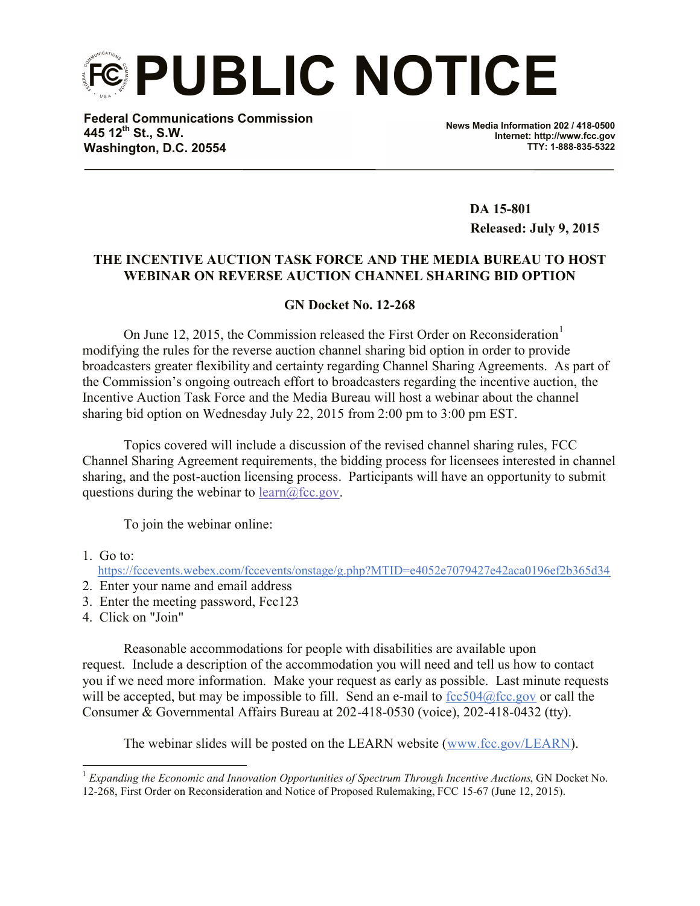**PUBLIC NOTICE**

**Federal Communications Commission 445 12th St., S.W. Washington, D.C. 20554**

**News Media Information 202 / 418-0500 Internet: http://www.fcc.gov TTY: 1-888-835-5322**

> **DA 15-801 Released: July 9, 2015**

## **THE INCENTIVE AUCTION TASK FORCE AND THE MEDIA BUREAU TO HOST WEBINAR ON REVERSE AUCTION CHANNEL SHARING BID OPTION**

## **GN Docket No. 12-268**

On June 12, 2015, the Commission released the First Order on Reconsideration<sup>1</sup> modifying the rules for the reverse auction channel sharing bid option in order to provide broadcasters greater flexibility and certainty regarding Channel Sharing Agreements. As part of the Commission's ongoing outreach effort to broadcasters regarding the incentive auction, the Incentive Auction Task Force and the Media Bureau will host a webinar about the channel sharing bid option on Wednesday July 22, 2015 from 2:00 pm to 3:00 pm EST.

Topics covered will include a discussion of the revised channel sharing rules, FCC Channel Sharing Agreement requirements, the bidding process for licensees interested in channel sharing, and the post-auction licensing process. Participants will have an opportunity to submit questions during the webinar to  $learn(\partial_1 fcc.gov)$ .

To join the webinar online:

1. Go to:

https://fccevents.webex.com/fccevents/onstage/g.php?MTID=e4052e7079427e42aca0196ef2b365d34

- 2. Enter your name and email address
- 3. Enter the meeting password, Fcc123
- 4. Click on "Join"

Reasonable accommodations for people with disabilities are available upon request. Include a description of the accommodation you will need and tell us how to contact you if we need more information. Make your request as early as possible. Last minute requests will be accepted, but may be impossible to fill. Send an e-mail to  $fcc504@fcc.gov$  or call the Consumer & Governmental Affairs Bureau at 202-418-0530 (voice), 202-418-0432 (tty).

The webinar slides will be posted on the LEARN website (www.fcc.gov/LEARN).

 $\overline{a}$ <sup>1</sup> *Expanding the Economic and Innovation Opportunities of Spectrum Through Incentive Auctions*, GN Docket No. 12-268, First Order on Reconsideration and Notice of Proposed Rulemaking, FCC 15-67 (June 12, 2015).